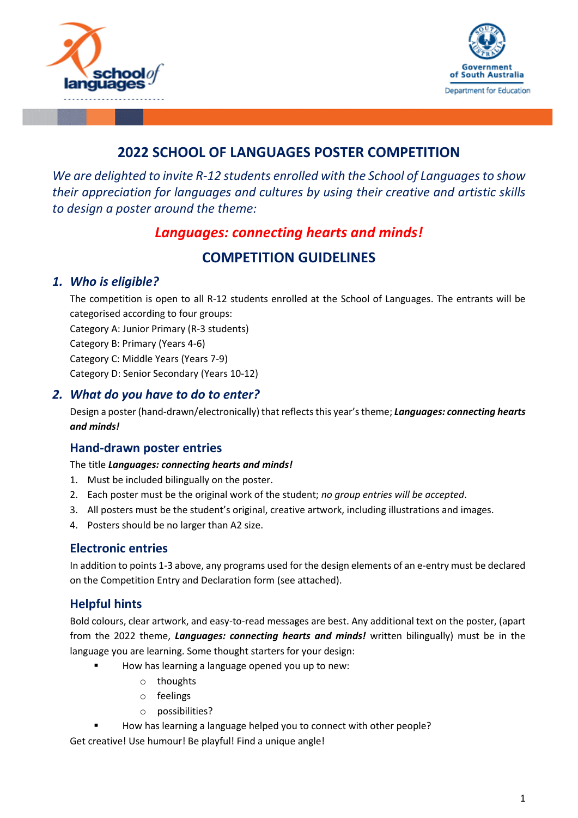



# **2022 SCHOOL OF LANGUAGES POSTER COMPETITION**

*We are delighted to invite R-12 students enrolled with the School of Languages to show their appreciation for languages and cultures by using their creative and artistic skills to design a poster around the theme:* 

# *Languages: connecting hearts and minds!*

# **COMPETITION GUIDELINES**

### *1. Who is eligible?*

The competition is open to all R-12 students enrolled at the School of Languages. The entrants will be categorised according to four groups:

Category A: Junior Primary (R-3 students)

Category B: Primary (Years 4-6)

Category C: Middle Years (Years 7-9)

Category D: Senior Secondary (Years 10-12)

### *2. What do you have to do to enter?*

Design a poster (hand-drawn/electronically) that reflects this year'stheme; *Languages: connecting hearts and minds!*

### **Hand-drawn poster entries**

#### The title *Languages: connecting hearts and minds!*

- 1. Must be included bilingually on the poster.
- 2. Each poster must be the original work of the student; *no group entries will be accepted*.
- 3. All posters must be the student's original, creative artwork, including illustrations and images.
- 4. Posters should be no larger than A2 size.

### **Electronic entries**

In addition to points 1-3 above, any programs used for the design elements of an e-entry must be declared on the Competition Entry and Declaration form (see attached).

# **Helpful hints**

Bold colours, clear artwork, and easy-to-read messages are best. Any additional text on the poster, (apart from the 2022 theme, *Languages: connecting hearts and minds!* written bilingually) must be in the language you are learning. Some thought starters for your design:

- How has learning a language opened you up to new:
	- o thoughts
	- o feelings
	- o possibilities?
- How has learning a language helped you to connect with other people?

Get creative! Use humour! Be playful! Find a unique angle!